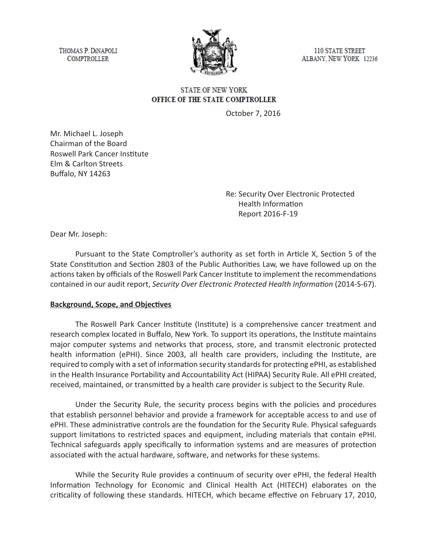THOMAS P. DINAPOLI **COMPTROLLER** 



**110 STATE STREET** ALBANY, NEW YORK 12236

## **STATE OF NEW YORK** OFFICE OF THE STATE COMPTROLLER

October 7, 2016

Mr. Michael L. Joseph Chairman of the Board Roswell Park Cancer Institute Elm & Carlton Streets Buffalo, NY 14263

> Re: Security Over Electronic Protected Health Information Report 2016-F-19

Dear Mr. Joseph:

Pursuant to the State Comptroller's authority as set forth in Article X, Section 5 of the State Constitution and Section 2803 of the Public Authorities Law, we have followed up on the actions taken by officials of the Roswell Park Cancer Institute to implement the recommendations contained in our audit report, *Security Over Electronic Protected Health Information* (2014-S-67).

#### **Background, Scope, and Objectives**

The Roswell Park Cancer Institute (Institute) is a comprehensive cancer treatment and research complex located in Buffalo, New York. To support its operations, the Institute maintains major computer systems and networks that process, store, and transmit electronic protected health information (ePHI). Since 2003, all health care providers, including the Institute, are required to comply with a set of information security standards for protecting ePHI, as established in the Health Insurance Portability and Accountability Act (HIPAA) Security Rule. All ePHI created, received, maintained, or transmitted by a health care provider is subject to the Security Rule.

Under the Security Rule, the security process begins with the policies and procedures that establish personnel behavior and provide a framework for acceptable access to and use of ePHI. These administrative controls are the foundation for the Security Rule. Physical safeguards support limitations to restricted spaces and equipment, including materials that contain ePHI. Technical safeguards apply specifically to information systems and are measures of protection associated with the actual hardware, software, and networks for these systems.

While the Security Rule provides a continuum of security over ePHI, the federal Health Information Technology for Economic and Clinical Health Act (HITECH) elaborates on the criticality of following these standards. HITECH, which became effective on February 17, 2010,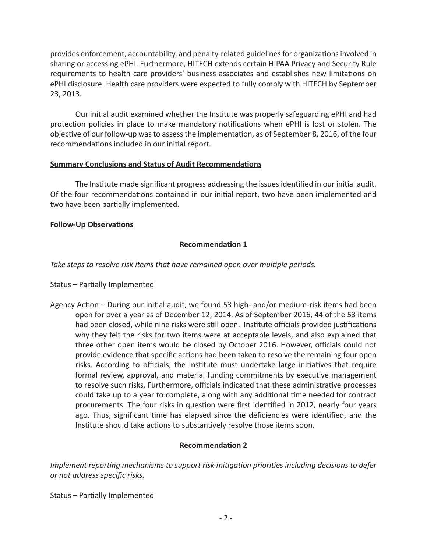provides enforcement, accountability, and penalty-related guidelines for organizations involved in sharing or accessing ePHI. Furthermore, HITECH extends certain HIPAA Privacy and Security Rule requirements to health care providers' business associates and establishes new limitations on ePHI disclosure. Health care providers were expected to fully comply with HITECH by September 23, 2013.

Our initial audit examined whether the Institute was properly safeguarding ePHI and had protection policies in place to make mandatory notifications when ePHI is lost or stolen. The objective of our follow-up was to assess the implementation, as of September 8, 2016, of the four recommendations included in our initial report.

#### **Summary Conclusions and Status of Audit Recommendations**

The Institute made significant progress addressing the issues identified in our initial audit. Of the four recommendations contained in our initial report, two have been implemented and two have been partially implemented.

# **Follow-Up Observations**

# **Recommendation 1**

*Take steps to resolve risk items that have remained open over multiple periods.* 

### Status – Partially Implemented

Agency Action – During our initial audit, we found 53 high- and/or medium-risk items had been open for over a year as of December 12, 2014. As of September 2016, 44 of the 53 items had been closed, while nine risks were still open. Institute officials provided justifications why they felt the risks for two items were at acceptable levels, and also explained that three other open items would be closed by October 2016. However, officials could not provide evidence that specific actions had been taken to resolve the remaining four open risks. According to officials, the Institute must undertake large initiatives that require formal review, approval, and material funding commitments by executive management to resolve such risks. Furthermore, officials indicated that these administrative processes could take up to a year to complete, along with any additional time needed for contract procurements. The four risks in question were first identified in 2012, nearly four years ago. Thus, significant time has elapsed since the deficiencies were identified, and the Institute should take actions to substantively resolve those items soon.

### **Recommendation 2**

*Implement reporting mechanisms to support risk mitigation priorities including decisions to defer or not address specific risks.*

Status – Partially Implemented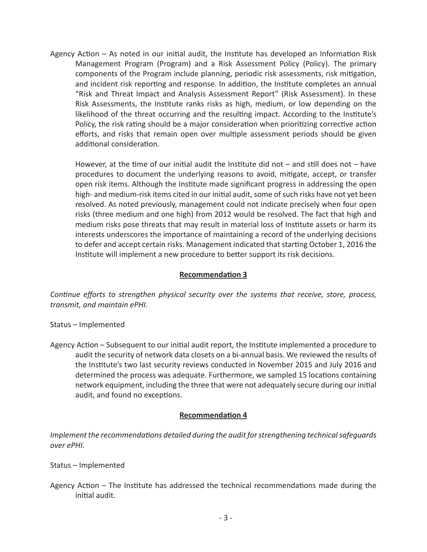Agency Action – As noted in our initial audit, the Institute has developed an Information Risk Management Program (Program) and a Risk Assessment Policy (Policy). The primary components of the Program include planning, periodic risk assessments, risk mitigation, and incident risk reporting and response. In addition, the Institute completes an annual "Risk and Threat Impact and Analysis Assessment Report" (Risk Assessment). In these Risk Assessments, the Institute ranks risks as high, medium, or low depending on the likelihood of the threat occurring and the resulting impact. According to the Institute's Policy, the risk rating should be a major consideration when prioritizing corrective action efforts, and risks that remain open over multiple assessment periods should be given additional consideration.

However, at the time of our initial audit the Institute did not – and still does not – have procedures to document the underlying reasons to avoid, mitigate, accept, or transfer open risk items. Although the Institute made significant progress in addressing the open high- and medium-risk items cited in our initial audit, some of such risks have not yet been resolved. As noted previously, management could not indicate precisely when four open risks (three medium and one high) from 2012 would be resolved. The fact that high and medium risks pose threats that may result in material loss of Institute assets or harm its interests underscores the importance of maintaining a record of the underlying decisions to defer and accept certain risks. Management indicated that starting October 1, 2016 the Institute will implement a new procedure to better support its risk decisions.

### **Recommendation 3**

*Continue efforts to strengthen physical security over the systems that receive, store, process, transmit, and maintain ePHI.*

- Status Implemented
- Agency Action Subsequent to our initial audit report, the Institute implemented a procedure to audit the security of network data closets on a bi-annual basis. We reviewed the results of the Institute's two last security reviews conducted in November 2015 and July 2016 and determined the process was adequate. Furthermore, we sampled 15 locations containing network equipment, including the three that were not adequately secure during our initial audit, and found no exceptions.

#### **Recommendation 4**

*Implement the recommendations detailed during the audit for strengthening technical safeguards over ePHI.*

#### Status – Implemented

Agency Action – The Institute has addressed the technical recommendations made during the initial audit.